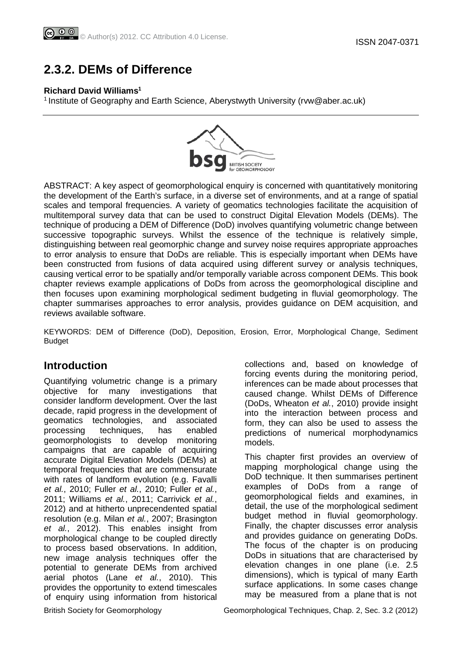# **2.3.2. DEMs of Difference**

#### **Richard David Williams1**

<sup>1</sup> Institute of Geography and Earth Science, Aberystwyth University (rvw@aber.ac.uk)



ABSTRACT: A key aspect of geomorphological enquiry is concerned with quantitatively monitoring the development of the Earth's surface, in a diverse set of environments, and at a range of spatial scales and temporal frequencies. A variety of geomatics technologies facilitate the acquisition of multitemporal survey data that can be used to construct Digital Elevation Models (DEMs). The technique of producing a DEM of Difference (DoD) involves quantifying volumetric change between successive topographic surveys. Whilst the essence of the technique is relatively simple, distinguishing between real geomorphic change and survey noise requires appropriate approaches to error analysis to ensure that DoDs are reliable. This is especially important when DEMs have been constructed from fusions of data acquired using different survey or analysis techniques, causing vertical error to be spatially and/or temporally variable across component DEMs. This book chapter reviews example applications of DoDs from across the geomorphological discipline and then focuses upon examining morphological sediment budgeting in fluvial geomorphology. The chapter summarises approaches to error analysis, provides guidance on DEM acquisition, and reviews available software.

KEYWORDS: DEM of Difference (DoD), Deposition, Erosion, Error, Morphological Change, Sediment Budget

## **Introduction**

Quantifying volumetric change is a primary objective for many investigations that consider landform development. Over the last decade, rapid progress in the development of geomatics technologies, and associated processing techniques, has enabled geomorphologists to develop monitoring campaigns that are capable of acquiring accurate Digital Elevation Models (DEMs) at temporal frequencies that are commensurate with rates of landform evolution (e.g. Favalli *et al.*, 2010; Fuller *et al.*, 2010; Fuller *et al.*, 2011; Williams *et al.*, 2011; Carrivick *et al.*, 2012) and at hitherto unprecendented spatial resolution (e.g. Milan *et al.*, 2007; Brasington *et al.*, 2012). This enables insight from morphological change to be coupled directly to process based observations. In addition, new image analysis techniques offer the potential to generate DEMs from archived aerial photos (Lane *et al.*, 2010). This provides the opportunity to extend timescales of enquiry using information from historical

collections and, based on knowledge of forcing events during the monitoring period, inferences can be made about processes that caused change. Whilst DEMs of Difference (DoDs, Wheaton *et al.*, 2010) provide insight into the interaction between process and form, they can also be used to assess the predictions of numerical morphodynamics models.

This chapter first provides an overview of mapping morphological change using the DoD technique. It then summarises pertinent examples of DoDs from a range of geomorphological fields and examines, in detail, the use of the morphological sediment budget method in fluvial geomorphology. Finally, the chapter discusses error analysis and provides guidance on generating DoDs. The focus of the chapter is on producing DoDs in situations that are characterised by elevation changes in one plane (i.e. 2.5 dimensions), which is typical of many Earth surface applications. In some cases change may be measured from a plane that is not

British Society for Geomorphology Geomorphological Techniques, Chap. 2, Sec. 3.2 (2012)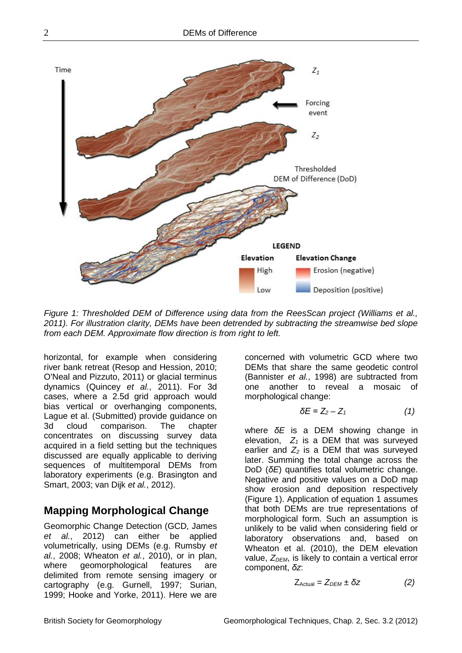

*Figure 1: Thresholded DEM of Difference using data from the ReesScan project (Williams et al., 2011). For illustration clarity, DEMs have been detrended by subtracting the streamwise bed slope from each DEM. Approximate flow direction is from right to left.*

horizontal, for example when considering river bank retreat (Resop and Hession, 2010; O'Neal and Pizzuto, 2011) or glacial terminus dynamics (Quincey *et al.*, 2011). For 3d cases, where a 2.5d grid approach would bias vertical or overhanging components, Lague et al. (Submitted) provide guidance on 3d cloud comparison. The chapter concentrates on discussing survey data acquired in a field setting but the techniques discussed are equally applicable to deriving sequences of multitemporal DEMs from laboratory experiments (e.g. Brasington and Smart, 2003; van Dijk *et al.*, 2012).

## **Mapping Morphological Change**

Geomorphic Change Detection (GCD, James *et al.*, 2012) can either be applied volumetrically, using DEMs (e.g. Rumsby *et al.*, 2008; Wheaton *et al.*, 2010), or in plan, where geomorphological features are delimited from remote sensing imagery or cartography (e.g. Gurnell, 1997; Surian, 1999; Hooke and Yorke, 2011). Here we are

concerned with volumetric GCD where two DEMs that share the same geodetic control (Bannister *et al.*, 1998) are subtracted from one another to reveal a mosaic of morphological change:

$$
\delta E = Z_2 - Z_1 \tag{1}
$$

where *δE* is a DEM showing change in elevation,  $Z_1$  is a DEM that was surveyed earlier and  $Z_2$  is a DEM that was surveyed later. Summing the total change across the DoD (*δE*) quantifies total volumetric change. Negative and positive values on a DoD map show erosion and deposition respectively (Figure 1). Application of equation 1 assumes that both DEMs are true representations of morphological form. Such an assumption is unlikely to be valid when considering field or laboratory observations and, based on Wheaton et al. (2010), the DEM elevation value, Z<sub>DEM</sub>, is likely to contain a vertical error component, *δz*:

$$
Z_{\text{Actual}} = Z_{\text{DEM}} \pm \delta z \tag{2}
$$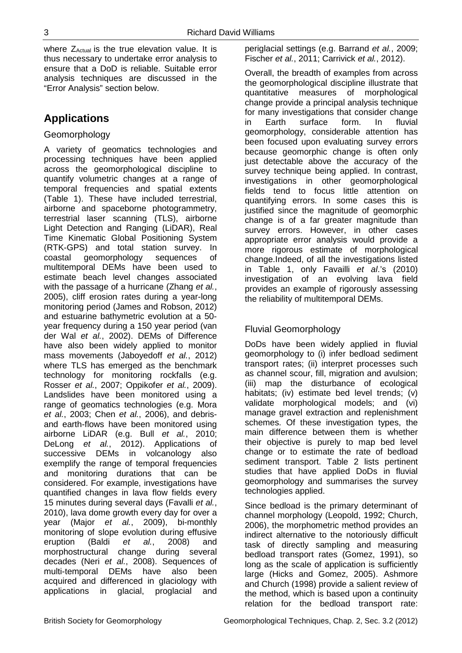where  $Z_{\text{Actual}}$  is the true elevation value. It is thus necessary to undertake error analysis to ensure that a DoD is reliable. Suitable error analysis techniques are discussed in the "Error Analysis" section below.

# **Applications**

#### Geomorphology

A variety of geomatics technologies and processing techniques have been applied across the geomorphological discipline to quantify volumetric changes at a range of temporal frequencies and spatial extents (Table 1). These have included terrestrial, airborne and spaceborne photogrammetry, terrestrial laser scanning (TLS), airborne Light Detection and Ranging (LiDAR), Real Time Kinematic Global Positioning System (RTK-GPS) and total station survey. In coastal geomorphology sequences of multitemporal DEMs have been used to estimate beach level changes associated with the passage of a hurricane (Zhang *et al.*, 2005), cliff erosion rates during a year-long monitoring period (James and Robson, 2012) and estuarine bathymetric evolution at a 50 year frequency during a 150 year period (van der Wal *et al.*, 2002). DEMs of Difference have also been widely applied to monitor mass movements (Jaboyedoff *et al.*, 2012) where TLS has emerged as the benchmark technology for monitoring rockfalls (e.g. Rosser *et al.*, 2007; Oppikofer *et al.*, 2009). Landslides have been monitored using a range of geomatics technologies (e.g. Mora *et al.*, 2003; Chen *et al.*, 2006), and debrisand earth-flows have been monitored using airborne LiDAR (e.g. Bull *et al.*, 2010; DeLong *et al.*, 2012). Applications of successive DEMs in volcanology also exemplify the range of temporal frequencies and monitoring durations that can be considered. For example, investigations have quantified changes in lava flow fields every 15 minutes during several days (Favalli *et al.*, 2010), lava dome growth every day for over a year (Major *et al.*, 2009), bi-monthly monitoring of slope evolution during effusive eruption (Baldi *et al.*, 2008) and morphostructural change during several decades (Neri *et al.*, 2008). Sequences of multi-temporal DEMs have also been acquired and differenced in glaciology with applications in glacial, proglacial and

periglacial settings (e.g. Barrand *et al.*, 2009; Fischer *et al.*, 2011; Carrivick *et al.*, 2012).

Overall, the breadth of examples from across the geomorphological discipline illustrate that quantitative measures of morphological change provide a principal analysis technique for many investigations that consider change in Earth surface form. In fluvial geomorphology, considerable attention has been focused upon evaluating survey errors because geomorphic change is often only just detectable above the accuracy of the survey technique being applied. In contrast, investigations in other geomorphological fields tend to focus little attention on quantifying errors. In some cases this is justified since the magnitude of geomorphic change is of a far greater magnitude than survey errors. However, in other cases appropriate error analysis would provide a more rigorous estimate of morphological change.Indeed, of all the investigations listed in Table 1, only Favailli *et al*.'s (2010) investigation of an evolving lava field provides an example of rigorously assessing the reliability of multitemporal DEMs.

### Fluvial Geomorphology

DoDs have been widely applied in fluvial geomorphology to (i) infer bedload sediment transport rates; (ii) interpret processes such as channel scour, fill, migration and avulsion; (iii) map the disturbance of ecological habitats; (iv) estimate bed level trends; (v) validate morphological models; and (vi) manage gravel extraction and replenishment schemes. Of these investigation types, the main difference between them is whether their objective is purely to map bed level change or to estimate the rate of bedload sediment transport. Table 2 lists pertinent studies that have applied DoDs in fluvial geomorphology and summarises the survey technologies applied.

Since bedload is the primary determinant of channel morphology (Leopold, 1992; Church, 2006), the morphometric method provides an indirect alternative to the notoriously difficult task of directly sampling and measuring bedload transport rates (Gomez, 1991), so long as the scale of application is sufficiently large (Hicks and Gomez, 2005). Ashmore and Church (1998) provide a salient review of the method, which is based upon a continuity relation for the bedload transport rate: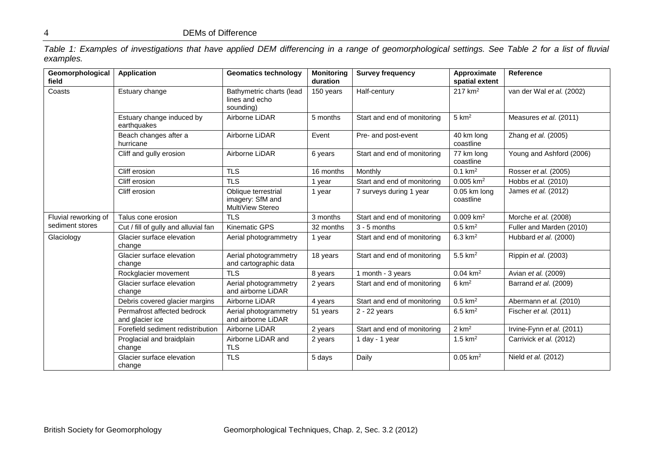*Table 1: Examples of investigations that have applied DEM differencing in a range of geomorphological settings. See Table 2 for a list of fluvial examples.*

| Geomorphological<br>field | <b>Application</b>                             | <b>Geomatics technology</b>                                 | <b>Monitoring</b><br>duration | <b>Survey frequency</b>     | Approximate<br>spatial extent | Reference                 |
|---------------------------|------------------------------------------------|-------------------------------------------------------------|-------------------------------|-----------------------------|-------------------------------|---------------------------|
| Coasts                    | Estuary change                                 | Bathymetric charts (lead<br>lines and echo<br>sounding)     | 150 years                     | Half-century                | $217$ km <sup>2</sup>         | van der Wal et al. (2002) |
|                           | Estuary change induced by<br>earthquakes       | Airborne LiDAR                                              | 5 months                      | Start and end of monitoring | $5 \text{ km}^2$              | Measures et al. (2011)    |
|                           | Beach changes after a<br>hurricane             | Airborne LiDAR                                              | Event                         | Pre- and post-event         | 40 km long<br>coastline       | Zhang et al. (2005)       |
|                           | Cliff and gully erosion                        | Airborne LiDAR                                              | 6 years                       | Start and end of monitoring | 77 km long<br>coastline       | Young and Ashford (2006)  |
|                           | Cliff erosion                                  | <b>TLS</b>                                                  | 16 months                     | Monthly                     | $0.1$ km <sup>2</sup>         | Rosser et al. (2005)      |
|                           | Cliff erosion                                  | <b>TLS</b>                                                  | 1 year                        | Start and end of monitoring | $0.005$ km <sup>2</sup>       | Hobbs et al. (2010)       |
|                           | Cliff erosion                                  | Oblique terrestrial<br>imagery: SfM and<br>MultiView Stereo | 1 year                        | 7 surveys during 1 year     | 0.05 km long<br>coastline     | James et al. (2012)       |
| Fluvial reworking of      | Talus cone erosion                             | <b>TLS</b>                                                  | 3 months                      | Start and end of monitoring | $0.009$ km <sup>2</sup>       | Morche et al. (2008)      |
| sediment stores           | Cut / fill of gully and alluvial fan           | <b>Kinematic GPS</b>                                        | 32 months                     | $3 - 5$ months              | $0.5$ km <sup>2</sup>         | Fuller and Marden (2010)  |
| Glaciology                | Glacier surface elevation<br>change            | Aerial photogrammetry                                       | 1 year                        | Start and end of monitoring | $6.3 \text{ km}^2$            | Hubbard et al. (2000)     |
|                           | Glacier surface elevation<br>change            | Aerial photogrammetry<br>and cartographic data              | 18 years                      | Start and end of monitoring | $5.5$ km <sup>2</sup>         | Rippin et al. (2003)      |
|                           | Rockglacier movement                           | <b>TLS</b>                                                  | 8 years                       | 1 month - 3 years           | $0.04 \text{ km}^2$           | Avian et al. (2009)       |
|                           | Glacier surface elevation<br>change            | Aerial photogrammetry<br>and airborne LiDAR                 | 2 years                       | Start and end of monitoring | $6 \text{ km}^2$              | Barrand et al. (2009)     |
|                           | Debris covered glacier margins                 | Airborne LiDAR                                              | 4 years                       | Start and end of monitoring | $0.5$ km <sup>2</sup>         | Abermann et al. (2010)    |
|                           | Permafrost affected bedrock<br>and glacier ice | Aerial photogrammetry<br>and airborne LiDAR                 | 51 years                      | 2 - 22 years                | $6.5$ km <sup>2</sup>         | Fischer et al. (2011)     |
|                           | Forefield sediment redistribution              | Airborne LiDAR                                              | 2 years                       | Start and end of monitoring | $2 \text{ km}^2$              | Irvine-Fynn et al. (2011) |
|                           | Proglacial and braidplain<br>change            | Airborne LiDAR and<br><b>TLS</b>                            | 2 years                       | 1 day - 1 year              | $1.5$ km <sup>2</sup>         | Carrivick et al. (2012)   |
|                           | Glacier surface elevation<br>change            | <b>TLS</b>                                                  | 5 days                        | Daily                       | $0.05$ km <sup>2</sup>        | Nield et al. (2012)       |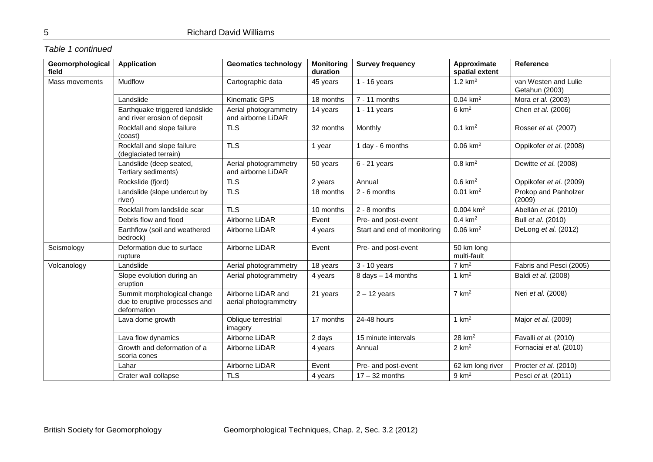### *Table 1 continued*

| Geomorphological<br>field | <b>Application</b>                                                          | <b>Geomatics technology</b>                 | <b>Monitoring</b><br>duration | <b>Survey frequency</b>     | Approximate<br>spatial extent | Reference                              |
|---------------------------|-----------------------------------------------------------------------------|---------------------------------------------|-------------------------------|-----------------------------|-------------------------------|----------------------------------------|
| Mass movements            | <b>Mudflow</b>                                                              | Cartographic data                           | 45 years                      | $1 - 16$ years              | 1.2 $km^2$                    | van Westen and Lulie<br>Getahun (2003) |
|                           | Landslide                                                                   | <b>Kinematic GPS</b>                        | 18 months                     | $7 - 11$ months             | $0.04 \text{ km}^2$           | Mora et al. (2003)                     |
|                           | Earthquake triggered landslide<br>and river erosion of deposit              | Aerial photogrammetry<br>and airborne LiDAR | 14 years                      | $1 - 11$ years              | $6 \text{ km}^2$              | Chen et al. (2006)                     |
|                           | Rockfall and slope failure<br>(coast)                                       | <b>TLS</b>                                  | 32 months                     | Monthly                     | $0.1 \text{ km}^2$            | Rosser et al. (2007)                   |
|                           | Rockfall and slope failure<br>(deglaciated terrain)                         | <b>TLS</b>                                  | 1 year                        | 1 day - 6 months            | $0.06$ km <sup>2</sup>        | Oppikofer et al. (2008)                |
|                           | Landslide (deep seated,<br>Tertiary sediments)                              | Aerial photogrammetry<br>and airborne LiDAR | 50 years                      | $6 - 21$ years              | $0.8$ km <sup>2</sup>         | Dewitte et al. (2008)                  |
|                           | Rockslide (fjord)                                                           | <b>TLS</b>                                  | 2 years                       | Annual                      | $0.6$ km <sup>2</sup>         | Oppikofer et al. (2009)                |
|                           | Landslide (slope undercut by<br>river)                                      | <b>TLS</b>                                  | 18 months                     | $2 - 6$ months              | $0.01$ km <sup>2</sup>        | Prokop and Panholzer<br>(2009)         |
|                           | Rockfall from landslide scar                                                | <b>TLS</b>                                  | 10 months                     | 2 - 8 months                | $0.004$ km <sup>2</sup>       | Abellán et al. (2010)                  |
|                           | Debris flow and flood                                                       | Airborne LiDAR                              | Event                         | Pre- and post-event         | $0.4$ km <sup>2</sup>         | Bull et al. (2010)                     |
|                           | Earthflow (soil and weathered<br>bedrock)                                   | Airborne LiDAR                              | 4 years                       | Start and end of monitoring | $0.06$ km <sup>2</sup>        | DeLong et al. (2012)                   |
| Seismology                | Deformation due to surface<br>rupture                                       | Airborne LiDAR                              | Event                         | Pre- and post-event         | 50 km long<br>multi-fault     |                                        |
| Volcanology               | Landslide                                                                   | Aerial photogrammetry                       | 18 years                      | $3 - 10$ years              | $7 \text{ km}^2$              | Fabris and Pesci (2005)                |
|                           | Slope evolution during an<br>eruption                                       | Aerial photogrammetry                       | 4 years                       | $8$ days $-14$ months       | 1 $km2$                       | Baldi et al. (2008)                    |
|                           | Summit morphological change<br>due to eruptive processes and<br>deformation | Airborne LiDAR and<br>aerial photogrammetry | 21 years                      | $2 - 12$ years              | $7 \text{ km}^2$              | Neri et al. (2008)                     |
|                           | Lava dome growth                                                            | Oblique terrestrial<br>imagery              | 17 months                     | 24-48 hours                 | 1 $km2$                       | Major et al. (2009)                    |
|                           | Lava flow dynamics                                                          | Airborne LiDAR                              | 2 days                        | 15 minute intervals         | $28$ km <sup>2</sup>          | Favalli et al. (2010)                  |
|                           | Growth and deformation of a<br>scoria cones                                 | Airborne LiDAR                              | 4 years                       | Annual                      | $2 \text{ km}^2$              | Fornaciai et al. (2010)                |
|                           | Lahar                                                                       | Airborne LiDAR                              | Event                         | Pre- and post-event         | 62 km long river              | Procter et al. (2010)                  |
|                           | Crater wall collapse                                                        | <b>TLS</b>                                  | 4 years                       | $17 - 32$ months            | $9 \text{ km}^2$              | Pesci et al. (2011)                    |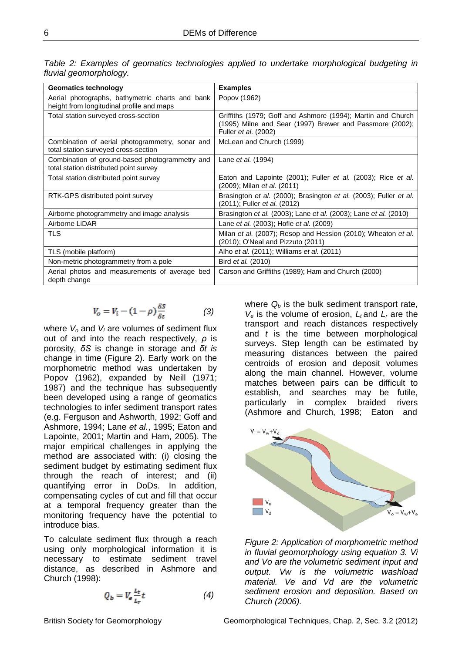| <b>Geomatics technology</b>                                                                  | <b>Examples</b>                                                                                                                                 |  |  |  |
|----------------------------------------------------------------------------------------------|-------------------------------------------------------------------------------------------------------------------------------------------------|--|--|--|
| Aerial photographs, bathymetric charts and bank<br>height from longitudinal profile and maps | Popov (1962)                                                                                                                                    |  |  |  |
| Total station surveyed cross-section                                                         | Griffiths (1979; Goff and Ashmore (1994); Martin and Church<br>(1995) Milne and Sear (1997) Brewer and Passmore (2002);<br>Fuller et al. (2002) |  |  |  |
| Combination of aerial photogrammetry, sonar and<br>total station surveyed cross-section      | McLean and Church (1999)                                                                                                                        |  |  |  |
| Combination of ground-based photogrammetry and<br>total station distributed point survey     | Lane et al. (1994)                                                                                                                              |  |  |  |
| Total station distributed point survey                                                       | Eaton and Lapointe (2001); Fuller et al. (2003); Rice et al.<br>(2009); Milan et al. (2011)                                                     |  |  |  |
| RTK-GPS distributed point survey                                                             | Brasington et al. (2000); Brasington et al. (2003); Fuller et al.<br>(2011); Fuller et al. (2012)                                               |  |  |  |
| Airborne photogrammetry and image analysis                                                   | Brasington et al. (2003); Lane et al. (2003); Lane et al. (2010)                                                                                |  |  |  |
| Airborne LiDAR                                                                               | Lane <i>et al.</i> (2003); Hofle <i>et al.</i> (2009)                                                                                           |  |  |  |
| <b>TLS</b>                                                                                   | Milan et al. (2007); Resop and Hession (2010); Wheaton et al.<br>(2010); O'Neal and Pizzuto (2011)                                              |  |  |  |
| TLS (mobile platform)                                                                        | Alho et al. (2011); Williams et al. (2011)                                                                                                      |  |  |  |
| Non-metric photogrammetry from a pole                                                        | Bird <i>et al.</i> (2010)                                                                                                                       |  |  |  |
| Aerial photos and measurements of average bed<br>depth change                                | Carson and Griffiths (1989); Ham and Church (2000)                                                                                              |  |  |  |

*Table 2: Examples of geomatics technologies applied to undertake morphological budgeting in fluvial geomorphology.* 

$$
V_o = V_i - (1 - \rho) \frac{\delta s}{\delta t} \tag{3}
$$

where *Vo* and *Vi* are volumes of sediment flux out of and into the reach respectively, *ρ* is porosity, *δS* is change in storage and *δt is*  change in time (Figure 2). Early work on the morphometric method was undertaken by Popov (1962), expanded by Neill (1971; 1987) and the technique has subsequently been developed using a range of geomatics technologies to infer sediment transport rates (e.g. Ferguson and Ashworth, 1992; Goff and Ashmore, 1994; Lane *et al.*, 1995; Eaton and Lapointe, 2001; Martin and Ham, 2005). The major empirical challenges in applying the method are associated with: (i) closing the sediment budget by estimating sediment flux through the reach of interest; and (ii) quantifying error in DoDs. In addition, compensating cycles of cut and fill that occur at a temporal frequency greater than the monitoring frequency have the potential to introduce bias.

To calculate sediment flux through a reach using only morphological information it is necessary to estimate sediment travel distance, as described in Ashmore and Church (1998):

$$
Q_b = V_e \frac{L_t}{L_r} t \tag{4}
$$

where  $Q_b$  is the bulk sediment transport rate,  $V_e$  is the volume of erosion,  $L_t$  and  $L_r$  are the transport and reach distances respectively and *t* is the time between morphological surveys. Step length can be estimated by measuring distances between the paired centroids of erosion and deposit volumes along the main channel. However, volume matches between pairs can be difficult to establish, and searches may be futile, particularly in complex braided rivers (Ashmore and Church, 1998; Eaton and



*Figure 2: Application of morphometric method in fluvial geomorphology using equation 3. Vi and Vo are the volumetric sediment input and output. Vw is the volumetric washload material. Ve and Vd are the volumetric sediment erosion and deposition. Based on Church (2006).*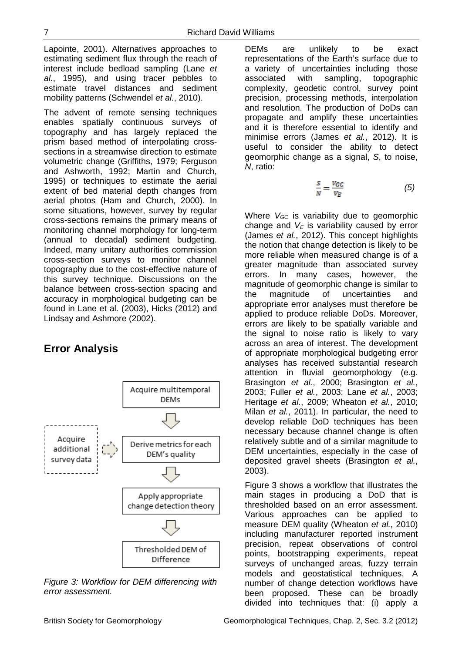Lapointe, 2001). Alternatives approaches to estimating sediment flux through the reach of interest include bedload sampling (Lane *et al.*, 1995), and using tracer pebbles to estimate travel distances and sediment mobility patterns (Schwendel *et al.*, 2010).

The advent of remote sensing techniques enables spatially continuous surveys of topography and has largely replaced the prism based method of interpolating crosssections in a streamwise direction to estimate volumetric change (Griffiths, 1979; Ferguson and Ashworth, 1992; Martin and Church, 1995) or techniques to estimate the aerial extent of bed material depth changes from aerial photos (Ham and Church, 2000). In some situations, however, survey by regular cross-sections remains the primary means of monitoring channel morphology for long-term (annual to decadal) sediment budgeting. Indeed, many unitary authorities commission cross-section surveys to monitor channel topography due to the cost-effective nature of this survey technique. Discussions on the balance between cross-section spacing and accuracy in morphological budgeting can be found in Lane et al. (2003), Hicks (2012) and Lindsay and Ashmore (2002).

## **Error Analysis**



*Figure 3: Workflow for DEM differencing with error assessment.*

DEMs are unlikely to be exact representations of the Earth's surface due to a variety of uncertainties including those associated with sampling, topographic complexity, geodetic control, survey point precision, processing methods, interpolation and resolution. The production of DoDs can propagate and amplify these uncertainties and it is therefore essential to identify and minimise errors (James *et al.*, 2012). It is useful to consider the ability to detect geomorphic change as a signal, *S*, to noise, *N*, ratio:

$$
\frac{s}{N} = \frac{v_{\text{GC}}}{v_{\text{E}}}
$$
 (5)

Where *V<sub>GC</sub>* is variability due to geomorphic change and  $V<sub>E</sub>$  is variability caused by error (James *et al.*, 2012). This concept highlights the notion that change detection is likely to be more reliable when measured change is of a greater magnitude than associated survey errors. In many cases, however, the magnitude of geomorphic change is similar to the magnitude of uncertainties and appropriate error analyses must therefore be applied to produce reliable DoDs. Moreover, errors are likely to be spatially variable and the signal to noise ratio is likely to vary across an area of interest. The development of appropriate morphological budgeting error analyses has received substantial research attention in fluvial geomorphology (e.g. Brasington *et al.*, 2000; Brasington *et al.*, 2003; Fuller *et al.*, 2003; Lane *et al.*, 2003; Heritage *et al.*, 2009; Wheaton *et al.*, 2010; Milan *et al.*, 2011). In particular, the need to develop reliable DoD techniques has been necessary because channel change is often relatively subtle and of a similar magnitude to DEM uncertainties, especially in the case of deposited gravel sheets (Brasington *et al.*, 2003).

Figure 3 shows a workflow that illustrates the main stages in producing a DoD that is thresholded based on an error assessment. Various approaches can be applied to measure DEM quality (Wheaton *et al.*, 2010) including manufacturer reported instrument precision, repeat observations of control points, bootstrapping experiments, repeat surveys of unchanged areas, fuzzy terrain models and geostatistical techniques. A number of change detection workflows have been proposed. These can be broadly divided into techniques that: (i) apply a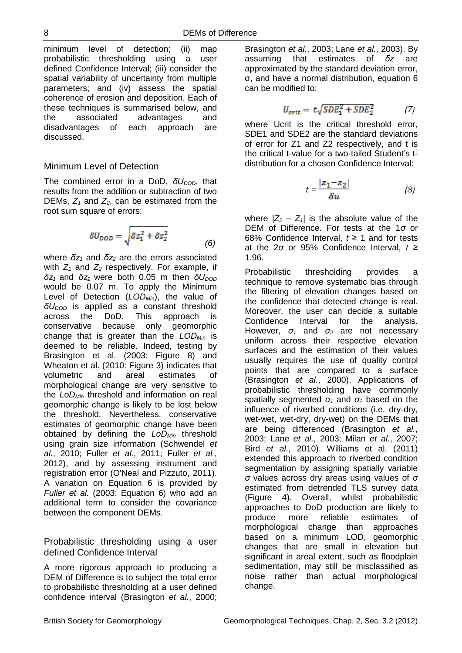minimum level of detection; (ii) map probabilistic thresholding using a user defined Confidence Interval; (iii) consider the spatial variability of uncertainty from multiple parameters; and (iv) assess the spatial coherence of erosion and deposition. Each of these techniques is summarised below, and the associated advantages and disadvantages of each approach are discussed.

#### Minimum Level of Detection

The combined error in a DoD,  $δU<sub>DOD</sub>$ , that results from the addition or subtraction of two DEMs,  $Z_1$  and  $Z_2$ , can be estimated from the root sum square of errors:

$$
\delta U_{DOD} = \sqrt{\delta z_1^2 + \delta z_2^2}
$$
 (6)

where *δz<sup>1</sup>* and *δz<sup>2</sup>* are the errors associated with  $Z_1$  and  $Z_2$  respectively. For example, if  $δz<sub>1</sub>$  and  $δz<sub>2</sub>$  were both 0.05 m then  $δU<sub>DOD</sub>$ would be 0.07 m. To apply the Minimum Level of Detection (*LODMin*), the value of *δU<sub>DOD</sub>* is applied as a constant threshold across the DoD. This approach is conservative because only geomorphic change that is greater than the *LODMin* is deemed to be reliable. Indeed, testing by Brasington et al. (2003: Figure 8) and Wheaton et al. (2010: Figure 3) indicates that volumetric and areal estimates of morphological change are very sensitive to the *LoDMin* threshold and information on real geomorphic change is likely to be lost below the threshold. Nevertheless, conservative estimates of geomorphic change have been obtained by defining the *LoDMin* threshold using grain size information (Schwendel *et al.*, 2010; Fuller *et al.*, 2011; Fuller *et al.*, 2012), and by assessing instrument and registration error (O'Neal and Pizzuto, 2011). A variation on Equation 6 is provided by *Fuller et al.* (2003: Equation 6) who add an additional term to consider the covariance between the component DEMs.

Probabilistic thresholding using a user defined Confidence Interval

A more rigorous approach to producing a DEM of Difference is to subject the total error to probabilistic thresholding at a user defined confidence interval (Brasington *et al.*, 2000; Brasington *et al.*, 2003; Lane *et al.*, 2003). By assuming that estimates of *δz* are approximated by the standard deviation error, σ, and have a normal distribution, equation 6 can be modified to:

$$
U_{crit} = t\sqrt{SDE_1^2 + SDE_2^2} \tag{7}
$$

where Ucrit is the critical threshold error, SDE1 and SDE2 are the standard deviations of error for Z1 and Z2 respectively, and t is the critical t-value for a two-tailed Student's tdistribution for a chosen Confidence Interval:

$$
t = \frac{|z_1 - z_2|}{\delta u} \tag{8}
$$

where  $|Z_2 - Z_1|$  is the absolute value of the DEM of Difference. For tests at the 1*σ* or 68% Confidence Interval, *t* ≥ 1 and for tests at the 2*σ* or 95% Confidence Interval, *t* ≥ 1.96.

Probabilistic thresholding provides a technique to remove systematic bias through the filtering of elevation changes based on the confidence that detected change is real. Moreover, the user can decide a suitable Confidence Interval for the analysis. However, *σ<sup>1</sup>* and *σ<sup>2</sup>* are not necessary uniform across their respective elevation surfaces and the estimation of their values usually requires the use of quality control points that are compared to a surface (Brasington *et al.*, 2000). Applications of probabilistic thresholding have commonly spatially segmented *σ<sup>1</sup>* and *σ<sup>2</sup>* based on the influence of riverbed conditions (i.e. dry-dry, wet-wet, wet-dry, dry-wet) on the DEMs that are being differenced (Brasington *et al.*, 2003; Lane *et al.*, 2003; Milan *et al.*, 2007; Bird *et al.*, 2010). Williams et al. (2011) extended this approach to riverbed condition segmentation by assigning spatially variable *σ* values across dry areas using values of *σ* estimated from detrended TLS survey data (Figure 4). Overall, whilst probabilistic approaches to DoD production are likely to produce more reliable estimates of morphological change than approaches based on a minimum LOD, geomorphic changes that are small in elevation but significant in areal extent, such as floodplain sedimentation, may still be misclassified as noise rather than actual morphological change.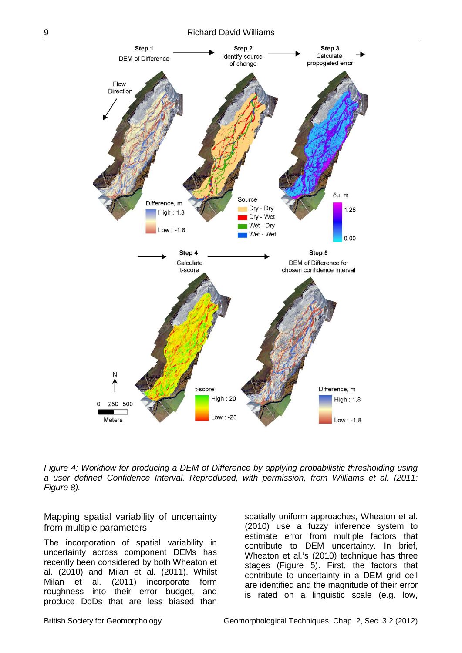

*Figure 4: Workflow for producing a DEM of Difference by applying probabilistic thresholding using a user defined Confidence Interval. Reproduced, with permission, from Williams et al. (2011: Figure 8).*

Mapping spatial variability of uncertainty from multiple parameters

The incorporation of spatial variability in uncertainty across component DEMs has recently been considered by both Wheaton et al. (2010) and Milan et al. (2011). Whilst Milan et al. (2011) incorporate form roughness into their error budget, and produce DoDs that are less biased than

spatially uniform approaches, Wheaton et al. (2010) use a fuzzy inference system to estimate error from multiple factors that contribute to DEM uncertainty. In brief, Wheaton et al.'s (2010) technique has three stages (Figure 5). First, the factors that contribute to uncertainty in a DEM grid cell are identified and the magnitude of their error is rated on a linguistic scale (e.g. low,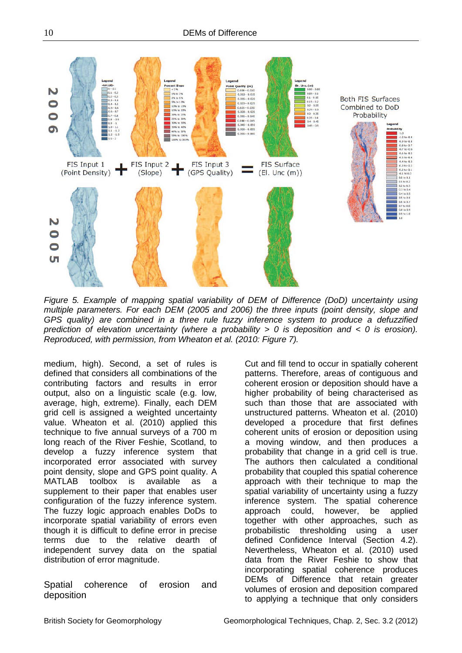

*Figure 5. Example of mapping spatial variability of DEM of Difference (DoD) uncertainty using multiple parameters. For each DEM (2005 and 2006) the three inputs (point density, slope and GPS quality) are combined in a three rule fuzzy inference system to produce a defuzzified prediction of elevation uncertainty (where a probability > 0 is deposition and < 0 is erosion). Reproduced, with permission, from Wheaton et al. (2010: Figure 7).*

medium, high). Second, a set of rules is defined that considers all combinations of the contributing factors and results in error output, also on a linguistic scale (e.g. low, average, high, extreme). Finally, each DEM grid cell is assigned a weighted uncertainty value. Wheaton et al. (2010) applied this technique to five annual surveys of a 700 m long reach of the River Feshie, Scotland, to develop a fuzzy inference system that incorporated error associated with survey point density, slope and GPS point quality. A MATLAB toolbox is available as a supplement to their paper that enables user configuration of the fuzzy inference system. The fuzzy logic approach enables DoDs to incorporate spatial variability of errors even though it is difficult to define error in precise terms due to the relative dearth of independent survey data on the spatial distribution of error magnitude.

Spatial coherence of erosion and deposition

Cut and fill tend to occur in spatially coherent patterns. Therefore, areas of contiguous and coherent erosion or deposition should have a higher probability of being characterised as such than those that are associated with unstructured patterns. Wheaton et al. (2010) developed a procedure that first defines coherent units of erosion or deposition using a moving window, and then produces a probability that change in a grid cell is true. The authors then calculated a conditional probability that coupled this spatial coherence approach with their technique to map the spatial variability of uncertainty using a fuzzy inference system. The spatial coherence approach could, however, be applied together with other approaches, such as probabilistic thresholding using a user defined Confidence Interval (Section 4.2). Nevertheless, Wheaton et al. (2010) used data from the River Feshie to show that incorporating spatial coherence produces DEMs of Difference that retain greater volumes of erosion and deposition compared to applying a technique that only considers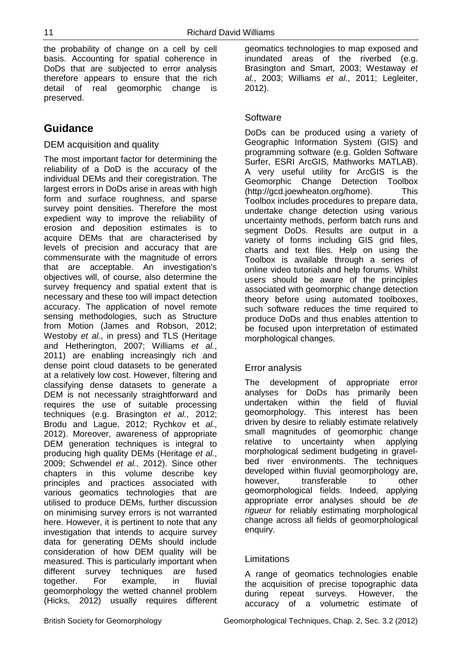the probability of change on a cell by cell basis. Accounting for spatial coherence in DoDs that are subjected to error analysis therefore appears to ensure that the rich detail of real geomorphic change is preserved.

## **Guidance**

#### DEM acquisition and quality

The most important factor for determining the reliability of a DoD is the accuracy of the individual DEMs and their coregistration. The largest errors in DoDs arise in areas with high form and surface roughness, and sparse survey point densities. Therefore the most expedient way to improve the reliability of erosion and deposition estimates is to acquire DEMs that are characterised by levels of precision and accuracy that are commensurate with the magnitude of errors that are acceptable. An investigation's objectives will, of course, also determine the survey frequency and spatial extent that is necessary and these too will impact detection accuracy. The application of novel remote sensing methodologies, such as Structure from Motion (James and Robson, 2012; Westoby *et al.*, in press) and TLS (Heritage and Hetherington, 2007; Williams *et al.*, 2011) are enabling increasingly rich and dense point cloud datasets to be generated at a relatively low cost. However, filtering and classifying dense datasets to generate a DEM is not necessarily straightforward and requires the use of suitable processing techniques (e.g. Brasington *et al.*, 2012; Brodu and Lague, 2012; Rychkov et *al.*, 2012). Moreover, awareness of appropriate DEM generation techniques is integral to producing high quality DEMs (Heritage *et al.*, 2009; Schwendel *et al.*, 2012). Since other chapters in this volume describe key principles and practices associated with various geomatics technologies that are utilised to produce DEMs, further discussion on minimising survey errors is not warranted here. However, it is pertinent to note that any investigation that intends to acquire survey data for generating DEMs should include consideration of how DEM quality will be measured. This is particularly important when different survey techniques are fused together. For example, in fluvial geomorphology the wetted channel problem (Hicks, 2012) usually requires different

geomatics technologies to map exposed and inundated areas of the riverbed (e.g. Brasington and Smart, 2003; Westaway *et al.*, 2003; Williams *et al.*, 2011; Legleiter, 2012).

#### Software

DoDs can be produced using a variety of Geographic Information System (GIS) and programming software (e.g. Golden Software Surfer, ESRI ArcGIS, Mathworks MATLAB). A very useful utility for ArcGIS is the Geomorphic Change Detection Toolbox (http://gcd.joewheaton.org/home). This Toolbox includes procedures to prepare data, undertake change detection using various uncertainty methods, perform batch runs and segment DoDs. Results are output in a variety of forms including GIS grid files, charts and text files. Help on using the Toolbox is available through a series of online video tutorials and help forums. Whilst users should be aware of the principles associated with geomorphic change detection theory before using automated toolboxes, such software reduces the time required to produce DoDs and thus enables attention to be focused upon interpretation of estimated morphological changes.

#### Error analysis

The development of appropriate error analyses for DoDs has primarily been undertaken within the field of fluvial geomorphology. This interest has been driven by desire to reliably estimate relatively small magnitudes of geomorphic change relative to uncertainty when applying morphological sediment budgeting in gravelbed river environments. The techniques developed within fluvial geomorphology are, however. transferable to other geomorphological fields. Indeed, applying appropriate error analyses should be *de rigueur* for reliably estimating morphological change across all fields of geomorphological enquiry.

#### Limitations

A range of geomatics technologies enable the acquisition of precise topographic data during repeat surveys. However, the accuracy of a volumetric estimate of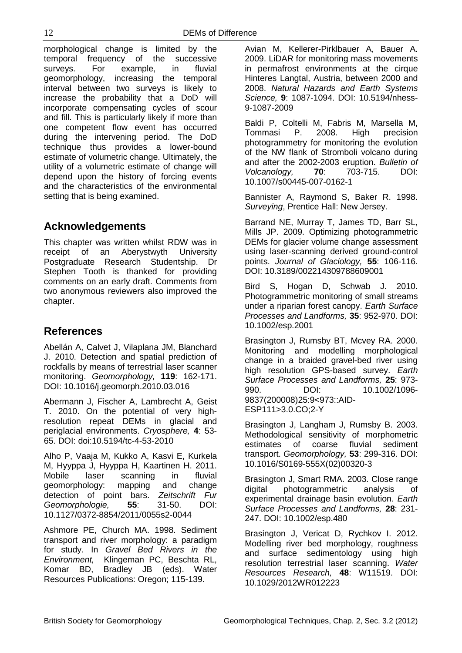morphological change is limited by the temporal frequency of the successive surveys. For example, in fluvial geomorphology, increasing the temporal interval between two surveys is likely to increase the probability that a DoD will incorporate compensating cycles of scour and fill. This is particularly likely if more than one competent flow event has occurred during the intervening period. The DoD technique thus provides a lower-bound estimate of volumetric change. Ultimately, the utility of a volumetric estimate of change will depend upon the history of forcing events and the characteristics of the environmental setting that is being examined.

## **Acknowledgements**

This chapter was written whilst RDW was in receipt of an Aberystwyth University Postgraduate Research Studentship. Dr Stephen Tooth is thanked for providing comments on an early draft. Comments from two anonymous reviewers also improved the chapter.

## **References**

Abellán A, Calvet J, Vilaplana JM, Blanchard J. 2010. Detection and spatial prediction of rockfalls by means of terrestrial laser scanner monitoring. *Geomorphology,* **119**: 162-171. DOI: 10.1016/j.geomorph.2010.03.016

Abermann J, Fischer A, Lambrecht A, Geist T. 2010. On the potential of very highresolution repeat DEMs in glacial and periglacial environments. *Cryosphere,* **4**: 53- 65. DOI: doi:10.5194/tc-4-53-2010

Alho P, Vaaja M, Kukko A, Kasvi E, Kurkela M, Hyyppa J, Hyyppa H, Kaartinen H. 2011. Mobile laser scanning in fluvial geomorphology: mapping and change detection of point bars. *Zeitschrift Fur Geomorphologie,* **55**: 31-50. DOI: 10.1127/0372-8854/2011/0055s2-0044

Ashmore PE, Church MA. 1998. Sediment transport and river morphology: a paradigm for study. In *Gravel Bed Rivers in the Environment,* Klingeman PC, Beschta RL, Komar BD, Bradley JB (eds). Water Resources Publications: Oregon; 115-139.

Avian M, Kellerer-Pirklbauer A, Bauer A. 2009. LiDAR for monitoring mass movements in permafrost environments at the cirque Hinteres Langtal, Austria, between 2000 and 2008. *Natural Hazards and Earth Systems Science,* **9**: 1087-1094. DOI: 10.5194/nhess-9-1087-2009

Baldi P, Coltelli M, Fabris M, Marsella M, Tommasi P. 2008. High precision photogrammetry for monitoring the evolution of the NW flank of Stromboli volcano during and after the 2002-2003 eruption. *Bulletin of Volcanology,* **70**: 703-715. DOI: 10.1007/s00445-007-0162-1

Bannister A, Raymond S, Baker R. 1998. *Surveying*, Prentice Hall: New Jersey.

Barrand NE, Murray T, James TD, Barr SL, Mills JP. 2009. Optimizing photogrammetric DEMs for glacier volume change assessment using laser-scanning derived ground-control points. *Journal of Glaciology,* **55**: 106-116. DOI: 10.3189/002214309788609001

Bird S, Hogan D, Schwab J. 2010. Photogrammetric monitoring of small streams under a riparian forest canopy. *Earth Surface Processes and Landforms,* **35**: 952-970. DOI: 10.1002/esp.2001

Brasington J, Rumsby BT, Mcvey RA. 2000. Monitoring and modelling morphological change in a braided gravel-bed river using high resolution GPS-based survey. *Earth Surface Processes and Landforms,* **25**: 973- 990. DOI: 10.1002/1096- 9837(200008)25:9<973::AID-ESP111>3.0.CO;2-Y

Brasington J, Langham J, Rumsby B. 2003. Methodological sensitivity of morphometric estimates of coarse fluvial sediment transport. *Geomorphology,* **53**: 299-316. DOI: 10.1016/S0169-555X(02)00320-3

Brasington J, Smart RMA. 2003. Close range digital photogrammetric analysis of experimental drainage basin evolution. *Earth Surface Processes and Landforms,* **28**: 231- 247. DOI: 10.1002/esp.480

Brasington J, Vericat D, Rychkov I. 2012. Modelling river bed morphology, roughness and surface sedimentology using high resolution terrestrial laser scanning. *Water Resources Research,* **48**: W11519. DOI: 10.1029/2012WR012223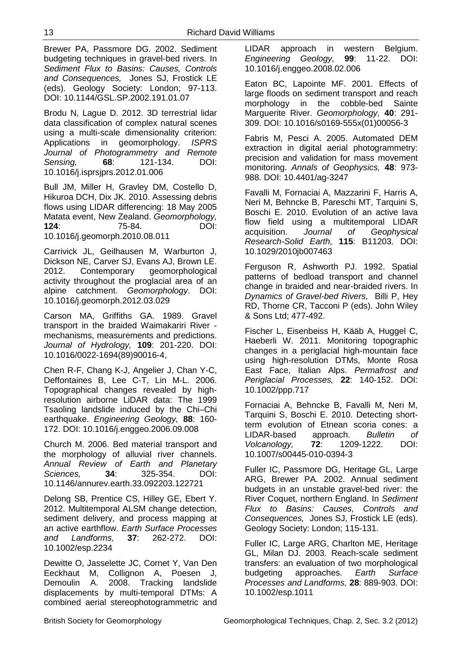Brewer PA, Passmore DG. 2002. Sediment budgeting techniques in gravel-bed rivers. In *Sediment Flux to Basins: Causes, Controls and Consequences,* Jones SJ, Frostick LE (eds). Geology Society: London; 97-113. DOI: 10.1144/GSL.SP.2002.191.01.07

Brodu N, Lague D. 2012. 3D terrestrial lidar data classification of complex natural scenes using a multi-scale dimensionality criterion: Applications in geomorphology. *ISPRS Journal of Photogrammetry and Remote Sensing,* **68**: 121-134. DOI: 10.1016/j.isprsjprs.2012.01.006

Bull JM, Miller H, Gravley DM, Costello D, Hikuroa DCH, Dix JK. 2010. Assessing debris flows using LIDAR differencing: 18 May 2005 Matata event, New Zealand. *Geomorphology,* **124**: 75-84. DOI: 10.1016/j.geomorph.2010.08.011

Carrivick JL, Geilhausen M, Warburton J, Dickson NE, Carver SJ, Evans AJ, Brown LE. 2012. Contemporary geomorphological activity throughout the proglacial area of an alpine catchment. *Geomorphology*. DOI: 10.1016/j.geomorph.2012.03.029

Carson MA, Griffiths GA. 1989. Gravel transport in the braided Waimakariri River mechanisms, measurements and predictions. *Journal of Hydrology,* **109**: 201-220. DOI: 10.1016/0022-1694(89)90016-4,

Chen R-F, Chang K-J, Angelier J, Chan Y-C, Deffontaines B, Lee C-T, Lin M-L. 2006. Topographical changes revealed by highresolution airborne LiDAR data: The 1999 Tsaoling landslide induced by the Chi–Chi earthquake. *Engineering Geology,* **88**: 160- 172. DOI: 10.1016/j.enggeo.2006.09.008

Church M. 2006. Bed material transport and the morphology of alluvial river channels. *Annual Review of Earth and Planetary Sciences,* **34**: 325-354. DOI: 10.1146/annurev.earth.33.092203.122721

Delong SB, Prentice CS, Hilley GE, Ebert Y. 2012. Multitemporal ALSM change detection, sediment delivery, and process mapping at an active earthflow. *Earth Surface Processes and Landforms,* **37**: 262-272. DOI: 10.1002/esp.2234

Dewitte O, Jasselette JC, Cornet Y, Van Den<br>Eeckhaut M, Collignon A, Poesen J, Eeckhaut M, Collignon A, Poesen J,<br>Demoulin A, 2008. Tracking landslide 2008. Tracking landslide displacements by multi-temporal DTMs: A combined aerial stereophotogrammetric and

LIDAR approach in western Belgium. *Engineering Geology,* **99**: 11-22. DOI: 10.1016/j.enggeo.2008.02.006

Eaton BC, Lapointe MF. 2001. Effects of large floods on sediment transport and reach morphology in the cobble-bed Sainte Marguerite River. *Geomorphology,* **40**: 291- 309. DOI: 10.1016/s0169-555x(01)00056-3

Fabris M, Pesci A. 2005. Automated DEM extraction in digital aerial photogrammetry: precision and validation for mass movement monitoring. *Annals of Geophysics,* **48**: 973- 988. DOI: 10.4401/ag-3247

Favalli M, Fornaciai A, Mazzarini F, Harris A, Neri M, Behncke B, Pareschi MT, Tarquini S, Boschi E. 2010. Evolution of an active lava flow field using a multitemporal LIDAR acquisition. *Journal of Geophysical Research-Solid Earth,* **115**: B11203. DOI: 10.1029/2010jb007463

Ferguson R, Ashworth PJ. 1992. Spatial patterns of bedload transport and channel change in braided and near-braided rivers. In *Dynamics of Gravel-bed Rivers,* Billi P, Hey RD, Thorne CR, Tacconi P (eds). John Wiley & Sons Ltd; 477-492.

Fischer L, Eisenbeiss H, Kääb A, Huggel C, Haeberli W. 2011. Monitoring topographic changes in a periglacial high-mountain face using high-resolution DTMs, Monte Rosa East Face, Italian Alps. *Permafrost and Periglacial Processes,* **22**: 140-152. DOI: 10.1002/ppp.717

Fornaciai A, Behncke B, Favalli M, Neri M, Tarquini S, Boschi E. 2010. Detecting shortterm evolution of Etnean scoria cones: a LIDAR-based approach. *Bulletin of Volcanology,* **72**: 1209-1222. DOI: 10.1007/s00445-010-0394-3

Fuller IC, Passmore DG, Heritage GL, Large ARG, Brewer PA. 2002. Annual sediment budgets in an unstable gravel-bed river: the River Coquet, northern England. In *Sediment Flux to Basins: Causes, Controls and Consequences,* Jones SJ, Frostick LE (eds). Geology Society: London; 115-131.

Fuller IC, Large ARG, Charlton ME, Heritage GL, Milan DJ. 2003. Reach-scale sediment transfers: an evaluation of two morphological budgeting approaches. *Earth Surface Processes and Landforms,* **28**: 889-903. DOI: 10.1002/esp.1011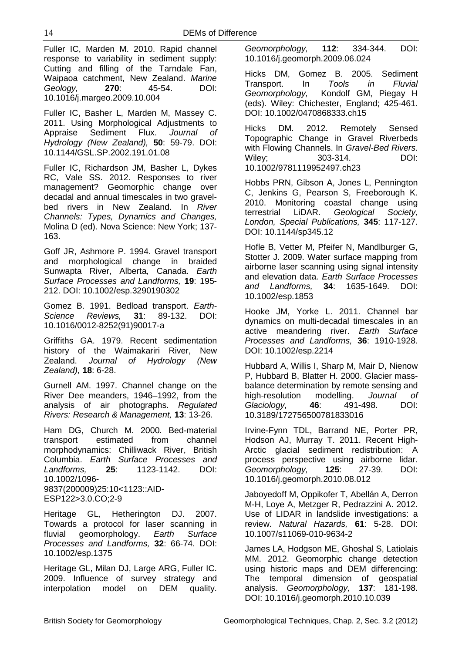Fuller IC, Marden M. 2010. Rapid channel response to variability in sediment supply: Cutting and filling of the Tarndale Fan, Waipaoa catchment, New Zealand. *Marine Geology,* **270**: 45-54. DOI: 10.1016/j.margeo.2009.10.004

Fuller IC, Basher L, Marden M, Massey C. 2011. Using Morphological Adjustments to<br>Appraise Sediment Flux. Journal of Appraise Sediment Flux. *Hydrology (New Zealand),* **50**: 59-79. DOI: 10.1144/GSL.SP.2002.191.01.08

Fuller IC, Richardson JM, Basher L, Dykes RC, Vale SS. 2012. Responses to river management? Geomorphic change over decadal and annual timescales in two gravelbed rivers in New Zealand. In *River Channels: Types, Dynamics and Changes,*  Molina D (ed). Nova Science: New York; 137- 163.

Goff JR, Ashmore P. 1994. Gravel transport and morphological change in braided Sunwapta River, Alberta, Canada. *Earth Surface Processes and Landforms,* **19**: 195- 212. DOI: 10.1002/esp.3290190302

Gomez B. 1991. Bedload transport. *Earth-Science Reviews,* **31**: 89-132. DOI: 10.1016/0012-8252(91)90017-a

Griffiths GA. 1979. Recent sedimentation history of the Waimakariri River, New Zealand. *Journal of Hydrology (New Zealand),* **18**: 6-28.

Gurnell AM. 1997. Channel change on the River Dee meanders, 1946–1992, from the analysis of air photographs. *Regulated Rivers: Research & Management,* **13**: 13-26.

Ham DG, Church M. 2000. Bed-material transport estimated from channel morphodynamics: Chilliwack River, British Columbia. *Earth Surface Processes and Landforms,* **25**: 1123-1142. DOI: 10.1002/1096- 9837(200009)25:10<1123::AID-ESP122>3.0.CO;2-9

Heritage GL, Hetherington DJ. 2007. Towards a protocol for laser scanning in fluvial geomorphology. *Earth Surface Processes and Landforms,* **32**: 66-74. DOI: 10.1002/esp.1375

Heritage GL, Milan DJ, Large ARG, Fuller IC. 2009. Influence of survey strategy and interpolation model on DEM quality. *Geomorphology,* **112**: 334-344. DOI: 10.1016/j.geomorph.2009.06.024

Hicks DM, Gomez B. 2005. Sediment Transport. In *Tools in Fluvial*  Kondolf GM, Piegay H (eds). Wiley: Chichester, England; 425-461. DOI: 10.1002/0470868333.ch15

Hicks DM. 2012. Remotely Sensed Topographic Change in Gravel Riverbeds with Flowing Channels. In *Gravel-Bed Rivers*. Wiley; 303-314. DOI: 10.1002/9781119952497.ch23

Hobbs PRN, Gibson A, Jones L, Pennington C, Jenkins G, Pearson S, Freeborough K. 2010. Monitoring coastal change using<br>terrestrial LiDAR. Geological Society. terrestrial LiDAR. *Geological Society, London, Special Publications,* **345**: 117-127. DOI: 10.1144/sp345.12

Hofle B, Vetter M, Pfeifer N, Mandlburger G, Stotter J. 2009. Water surface mapping from airborne laser scanning using signal intensity and elevation data. *Earth Surface Processes and Landforms,* **34**: 1635-1649. DOI: 10.1002/esp.1853

Hooke JM, Yorke L. 2011. Channel bar dynamics on multi-decadal timescales in an active meandering river. *Earth Surface Processes and Landforms,* **36**: 1910-1928. DOI: 10.1002/esp.2214

Hubbard A, Willis I, Sharp M, Mair D, Nienow P, Hubbard B, Blatter H. 2000. Glacier massbalance determination by remote sensing and high-resolution modelling. *Journal of Glaciology,* **46**: 491-498. DOI: 10.3189/172756500781833016

Irvine-Fynn TDL, Barrand NE, Porter PR, Hodson AJ, Murray T. 2011. Recent High-Arctic glacial sediment redistribution: A process perspective using airborne lidar. *Geomorphology,* **125**: 27-39. DOI: 10.1016/j.geomorph.2010.08.012

Jaboyedoff M, Oppikofer T, Abellán A, Derron M-H, Loye A, Metzger R, Pedrazzini A. 2012. Use of LIDAR in landslide investigations: a review. *Natural Hazards,* **61**: 5-28. DOI: 10.1007/s11069-010-9634-2

James LA, Hodgson ME, Ghoshal S, Latiolais MM. 2012. Geomorphic change detection using historic maps and DEM differencing: The temporal dimension of geospatial analysis. *Geomorphology,* **137**: 181-198. DOI: 10.1016/j.geomorph.2010.10.039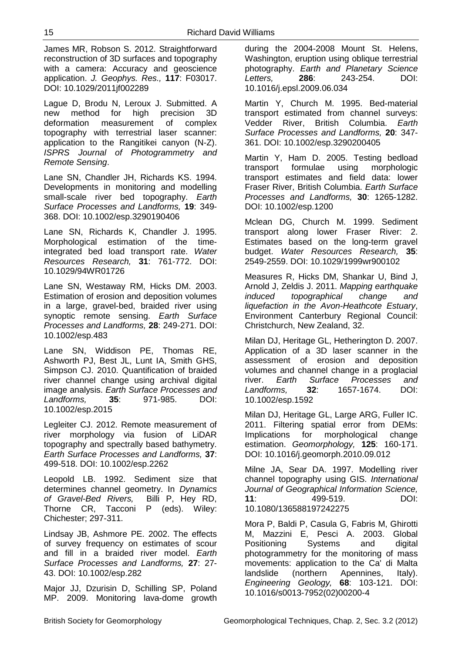James MR, Robson S. 2012. Straightforward reconstruction of 3D surfaces and topography with a camera: Accuracy and geoscience application. *J. Geophys. Res.,* **117**: F03017. DOI: 10.1029/2011jf002289

Lague D, Brodu N, Leroux J. Submitted. A new method for high precision 3D deformation measurement of complex topography with terrestrial laser scanner: application to the Rangitikei canyon (N-Z). *ISPRS Journal of Photogrammetry and Remote Sensing*.

Lane SN, Chandler JH, Richards KS. 1994. Developments in monitoring and modelling small-scale river bed topography. *Earth Surface Processes and Landforms,* **19**: 349- 368. DOI: 10.1002/esp.3290190406

Lane SN, Richards K, Chandler J. 1995. Morphological estimation of the timeintegrated bed load transport rate. *Water Resources Research,* **31**: 761-772. DOI: 10.1029/94WR01726

Lane SN, Westaway RM, Hicks DM. 2003. Estimation of erosion and deposition volumes in a large, gravel-bed, braided river using synoptic remote sensing. *Earth Surface Processes and Landforms,* **28**: 249-271. DOI: 10.1002/esp.483

Lane SN, Widdison PE, Thomas RE, Ashworth PJ, Best JL, Lunt IA, Smith GHS, Simpson CJ. 2010. Quantification of braided river channel change using archival digital image analysis. *Earth Surface Processes and Landforms,* **35**: 971-985. DOI: 10.1002/esp.2015

Legleiter CJ. 2012. Remote measurement of river morphology via fusion of LiDAR topography and spectrally based bathymetry. *Earth Surface Processes and Landforms,* **37**: 499-518. DOI: 10.1002/esp.2262

Leopold LB. 1992. Sediment size that determines channel geometry. In *Dynamics of Gravel-Bed Rivers,* Billi P, Hey RD, Thorne CR, Tacconi P (eds). Wiley: Chichester; 297-311.

Lindsay JB, Ashmore PE. 2002. The effects of survey frequency on estimates of scour and fill in a braided river model. *Earth Surface Processes and Landforms,* **27**: 27- 43. DOI: 10.1002/esp.282

Major JJ, Dzurisin D, Schilling SP, Poland MP. 2009. Monitoring lava-dome growth during the 2004-2008 Mount St. Helens, Washington, eruption using oblique terrestrial photography. *Earth and Planetary Science Letters,* **286**: 243-254. DOI: 10.1016/j.epsl.2009.06.034

Martin Y, Church M. 1995. Bed-material transport estimated from channel surveys: Vedder River, British Columbia. *Earth Surface Processes and Landforms,* **20**: 347- 361. DOI: 10.1002/esp.3290200405

Martin Y, Ham D. 2005. Testing bedload transport formulae using morphologic transport estimates and field data: lower Fraser River, British Columbia. *Earth Surface Processes and Landforms,* **30**: 1265-1282. DOI: 10.1002/esp.1200

Mclean DG, Church M. 1999. Sediment transport along lower Fraser River: 2. Estimates based on the long-term gravel budget. *Water Resources Research,* **35**: 2549-2559. DOI: 10.1029/1999wr900102

Measures R, Hicks DM, Shankar U, Bind J, Arnold J, Zeldis J. 2011. *Mapping earthquake induced topographical change and liquefaction in the Avon-Heathcote Estuary*, Environment Canterbury Regional Council: Christchurch, New Zealand, 32.

Milan DJ, Heritage GL, Hetherington D. 2007. Application of a 3D laser scanner in the assessment of erosion and deposition volumes and channel change in a proglacial river. *Earth Surface Processes and Landforms,* **32**: 1657-1674. DOI: 10.1002/esp.1592

Milan DJ, Heritage GL, Large ARG, Fuller IC. 2011. Filtering spatial error from DEMs: Implications for morphological change estimation. *Geomorphology,* **125**: 160-171. DOI: 10.1016/j.geomorph.2010.09.012

Milne JA, Sear DA. 1997. Modelling river channel topography using GIS. *International Journal of Geographical Information Science,* **11**: 499-519. DOI: 10.1080/136588197242275

Mora P, Baldi P, Casula G, Fabris M, Ghirotti M, Mazzini E, Pesci A. 2003. Global Positioning Systems and digital photogrammetry for the monitoring of mass movements: application to the Ca' di Malta landslide (northern Apennines, Italy). *Engineering Geology,* **68**: 103-121. DOI: 10.1016/s0013-7952(02)00200-4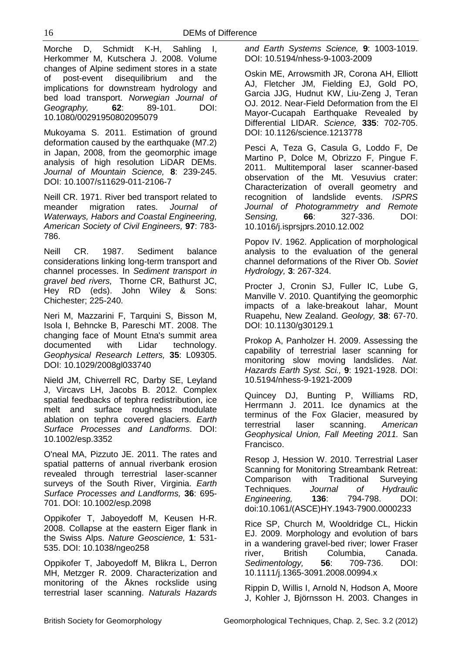Morche D, Schmidt K-H, Sahling I, Herkommer M, Kutschera J. 2008. Volume changes of Alpine sediment stores in a state of post-event disequilibrium and the implications for downstream hydrology and bed load transport. *Norwegian Journal of Geography,* **62**: 89-101. DOI: 10.1080/00291950802095079

Mukoyama S. 2011. Estimation of ground deformation caused by the earthquake (M7.2) in Japan, 2008, from the geomorphic image analysis of high resolution LiDAR DEMs. *Journal of Mountain Science,* **8**: 239-245. DOI: 10.1007/s11629-011-2106-7

Neill CR. 1971. River bed transport related to meander migration rates. *Journal of Waterways, Habors and Coastal Engineering, American Society of Civil Engineers,* **97**: 783- 786.

Neill CR. 1987. Sediment balance considerations linking long-term transport and channel processes. In *Sediment transport in gravel bed rivers,* Thorne CR, Bathurst JC, Hey RD (eds). John Wiley & Sons: Chichester; 225-240.

Neri M, Mazzarini F, Tarquini S, Bisson M, Isola I, Behncke B, Pareschi MT. 2008. The changing face of Mount Etna's summit area documented with Lidar technology. *Geophysical Research Letters,* **35**: L09305. DOI: 10.1029/2008gl033740

Nield JM, Chiverrell RC, Darby SE, Leyland J, Vircavs LH, Jacobs B. 2012. Complex spatial feedbacks of tephra redistribution, ice melt and surface roughness modulate ablation on tephra covered glaciers. *Earth Surface Processes and Landforms*. DOI: 10.1002/esp.3352

O'neal MA, Pizzuto JE. 2011. The rates and spatial patterns of annual riverbank erosion revealed through terrestrial laser-scanner surveys of the South River, Virginia. *Earth Surface Processes and Landforms,* **36**: 695- 701. DOI: 10.1002/esp.2098

Oppikofer T, Jaboyedoff M, Keusen H-R. 2008. Collapse at the eastern Eiger flank in the Swiss Alps. *Nature Geoscience,* **1**: 531- 535. DOI: 10.1038/ngeo258

Oppikofer T, Jaboyedoff M, Blikra L, Derron MH, Metzger R. 2009. Characterization and monitoring of the Åknes rockslide using terrestrial laser scanning. *Naturals Hazards*  *and Earth Systems Science,* **9**: 1003-1019. DOI: 10.5194/nhess-9-1003-2009

Oskin ME, Arrowsmith JR, Corona AH, Elliott AJ, Fletcher JM, Fielding EJ, Gold PO, Garcia JJG, Hudnut KW, Liu-Zeng J, Teran OJ. 2012. Near-Field Deformation from the El Mayor-Cucapah Earthquake Revealed by Differential LIDAR. *Science,* **335**: 702-705. DOI: 10.1126/science.1213778

Pesci A, Teza G, Casula G, Loddo F, De Martino P, Dolce M, Obrizzo F, Pingue F. 2011. Multitemporal laser scanner-based observation of the Mt. Vesuvius crater: Characterization of overall geometry and recognition of landslide events. *ISPRS Journal of Photogrammetry and Remote Sensing,* **66**: 327-336. DOI: 10.1016/j.isprsjprs.2010.12.002

Popov IV. 1962. Application of morphological analysis to the evaluation of the general channel deformations of the River Ob. *Soviet Hydrology,* **3**: 267-324.

Procter J, Cronin SJ, Fuller IC, Lube G, Manville V. 2010. Quantifying the geomorphic impacts of a lake-breakout lahar, Mount Ruapehu, New Zealand. *Geology,* **38**: 67-70. DOI: 10.1130/g30129.1

Prokop A, Panholzer H. 2009. Assessing the capability of terrestrial laser scanning for monitoring slow moving landslides. *Nat. Hazards Earth Syst. Sci.,* **9**: 1921-1928. DOI: 10.5194/nhess-9-1921-2009

Quincey DJ, Bunting P, Williams RD, Herrmann J. 2011. Ice dynamics at the terminus of the Fox Glacier, measured by terrestrial laser scanning. *American Geophysical Union, Fall Meeting 2011.* San Francisco.

Resop J, Hession W. 2010. Terrestrial Laser Scanning for Monitoring Streambank Retreat: Comparison with Traditional Surveying Techniques. *Journal of Hydraulic Engineering,* **136**: 794-798. DOI: doi:10.1061/(ASCE)HY.1943-7900.0000233

Rice SP, Church M, Wooldridge CL, Hickin EJ. 2009. Morphology and evolution of bars in a wandering gravel-bed river; lower Fraser river, British Columbia, Canada. *Sedimentology,* **56**: 709-736. DOI: 10.1111/j.1365-3091.2008.00994.x

Rippin D, Willis I, Arnold N, Hodson A, Moore J, Kohler J, Björnsson H. 2003. Changes in